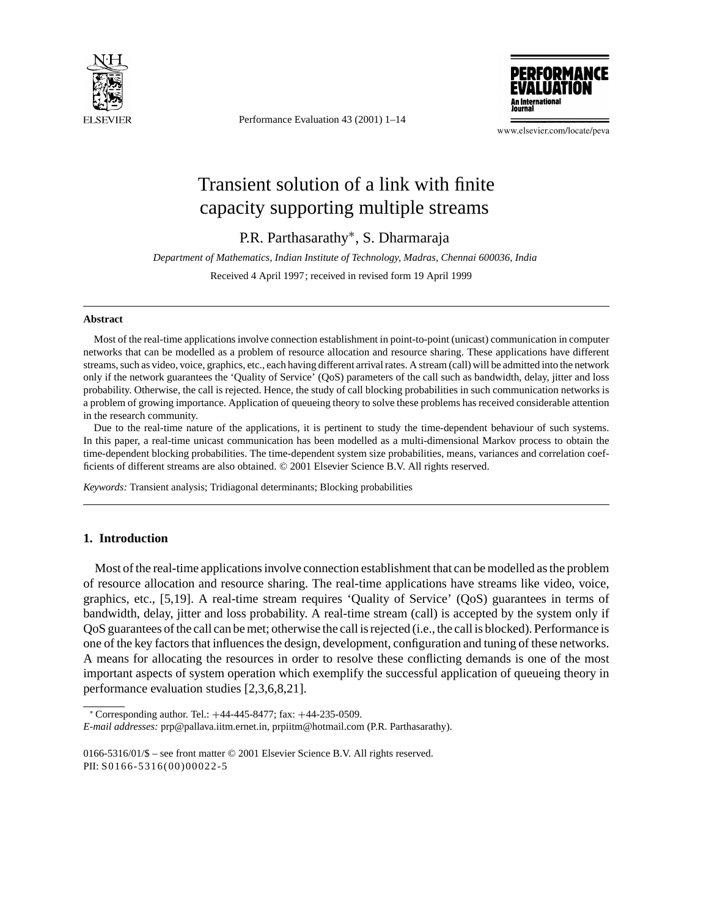

Performance Evaluation 43 (2001) 1–14



www.elsevier.com/locate/peva

# Transient solution of a link with finite capacity supporting multiple streams

P.R. Parthasarathy∗, S. Dharmaraja

*Department of Mathematics, Indian Institute of Technology, Madras, Chennai 600036, India*

Received 4 April 1997; received in revised form 19 April 1999

#### **Abstract**

Most of the real-time applications involve connection establishment in point-to-point (unicast) communication in computer networks that can be modelled as a problem of resource allocation and resource sharing. These applications have different streams, such as video, voice, graphics, etc., each having different arrival rates. A stream (call) will be admitted into the network only if the network guarantees the 'Quality of Service' (QoS) parameters of the call such as bandwidth, delay, jitter and loss probability. Otherwise, the call is rejected. Hence, the study of call blocking probabilities in such communication networks is a problem of growing importance. Application of queueing theory to solve these problems has received considerable attention in the research community.

Due to the real-time nature of the applications, it is pertinent to study the time-dependent behaviour of such systems. In this paper, a real-time unicast communication has been modelled as a multi-dimensional Markov process to obtain the time-dependent blocking probabilities. The time-dependent system size probabilities, means, variances and correlation coefficients of different streams are also obtained. © 2001 Elsevier Science B.V. All rights reserved.

*Keywords:* Transient analysis; Tridiagonal determinants; Blocking probabilities

# **1. Introduction**

Most of the real-time applications involve connection establishment that can be modelled as the problem of resource allocation and resource sharing. The real-time applications have streams like video, voice, graphics, etc., [5,19]. A real-time stream requires 'Quality of Service' (QoS) guarantees in terms of bandwidth, delay, jitter and loss probability. A real-time stream (call) is accepted by the system only if QoS guarantees of the call can be met; otherwise the call is rejected (i.e., the call is blocked). Performance is one of the key factors that influences the design, development, configuration and tuning of these networks. A means for allocating the resources in order to resolve these conflicting demands is one of the most important aspects of system operation which exemplify the successful application of queueing theory in performance evaluation studies [2,3,6,8,21].

<sup>∗</sup> Corresponding author. Tel.: +44-445-8477; fax: +44-235-0509. *E-mail addresses:* prp@pallava.iitm.ernet.in, prpiitm@hotmail.com (P.R. Parthasarathy).

<sup>0166-5316/01/\$ –</sup> see front matter © 2001 Elsevier Science B.V. All rights reserved. PII: S0166-5316(00)00022-5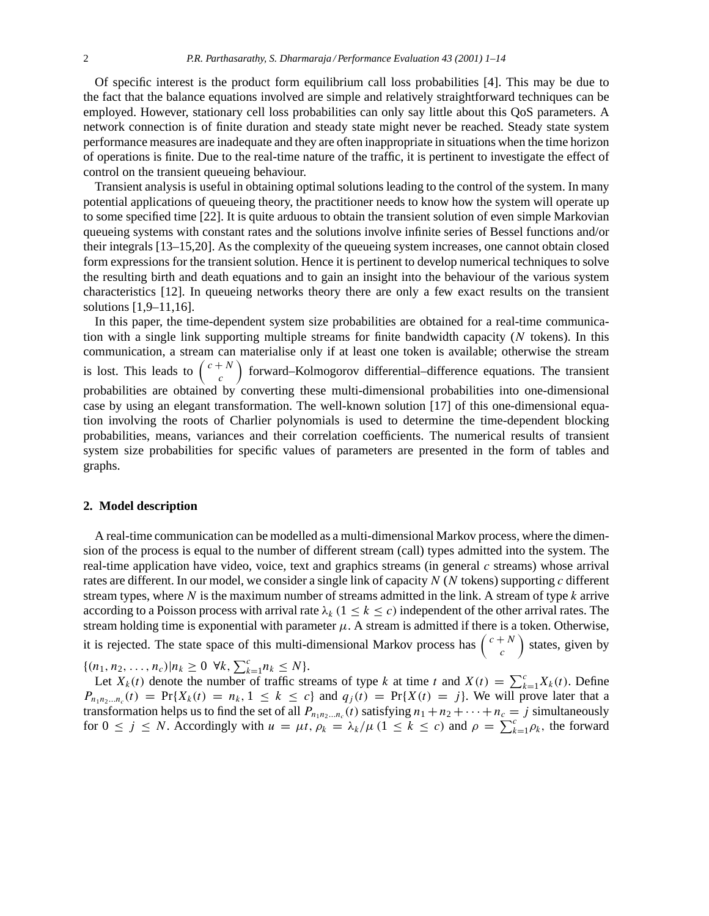Of specific interest is the product form equilibrium call loss probabilities [4]. This may be due to the fact that the balance equations involved are simple and relatively straightforward techniques can be employed. However, stationary cell loss probabilities can only say little about this QoS parameters. A network connection is of finite duration and steady state might never be reached. Steady state system performance measures are inadequate and they are often inappropriate in situations when the time horizon of operations is finite. Due to the real-time nature of the traffic, it is pertinent to investigate the effect of control on the transient queueing behaviour.

Transient analysis is useful in obtaining optimal solutions leading to the control of the system. In many potential applications of queueing theory, the practitioner needs to know how the system will operate up to some specified time [22]. It is quite arduous to obtain the transient solution of even simple Markovian queueing systems with constant rates and the solutions involve infinite series of Bessel functions and/or their integrals [13–15,20]. As the complexity of the queueing system increases, one cannot obtain closed form expressions for the transient solution. Hence it is pertinent to develop numerical techniques to solve the resulting birth and death equations and to gain an insight into the behaviour of the various system characteristics [12]. In queueing networks theory there are only a few exact results on the transient solutions [1,9–11,16].

In this paper, the time-dependent system size probabilities are obtained for a real-time communication with a single link supporting multiple streams for finite bandwidth capacity  $(N \t{ tokens})$ . In this communication, a stream can materialise only if at least one token is available; otherwise the stream is lost. This leads to  $\begin{pmatrix} c+N \\ c \end{pmatrix}$  forward–Kolmogorov differential–difference equations. The transient probabilities are obtained by converting these multi-dimensional probabilities into one-dimensional case by using an elegant transformation. The well-known solution [17] of this one-dimensional equation involving the roots of Charlier polynomials is used to determine the time-dependent blocking probabilities, means, variances and their correlation coefficients. The numerical results of transient system size probabilities for specific values of parameters are presented in the form of tables and graphs.

#### **2. Model description**

A real-time communication can be modelled as a multi-dimensional Markov process, where the dimension of the process is equal to the number of different stream (call) types admitted into the system. The real-time application have video, voice, text and graphics streams (in general  $c$  streams) whose arrival rates are different. In our model, we consider a single link of capacity  $N$  ( $N$  tokens) supporting  $c$  different stream types, where  $N$  is the maximum number of streams admitted in the link. A stream of type  $k$  arrive according to a Poisson process with arrival rate  $\lambda_k$  (1  $\leq$  k  $\leq$  c) independent of the other arrival rates. The stream holding time is exponential with parameter  $\mu$ . A stream is admitted if there is a token. Otherwise, it is rejected. The state space of this multi-dimensional Markov process has  $\begin{pmatrix} c+N \\ c \end{pmatrix}$ ) states, given by

 $\{(n_1, n_2, \ldots, n_c)| n_k \geq 0 \ \forall k, \sum_{k=1}^c n_k \leq N\}.$ 

Let  $X_k(t)$  denote the number of traffic streams of type k at time t and  $X(t) = \sum_{k=1}^{c} X_k(t)$ . Define  $P_{n_1n_2...n_c}(t) = Pr{X_k(t) = n_k, 1 \le k \le c}$  and  $q_j(t) = Pr{X(t) = j}$ . We will prove later that a transformation helps us to find the set of all  $P_{n_1n_2...n_c}(t)$  satisfying  $n_1 + n_2 + \cdots + n_c = j$  simultaneously for  $0 \le j \le N$ . Accordingly with  $u = \mu t$ ,  $\rho_k = \lambda_k / \mu$  ( $1 \le k \le c$ ) and  $\rho = \sum_{k=1}^{c} \rho_k$ , the forward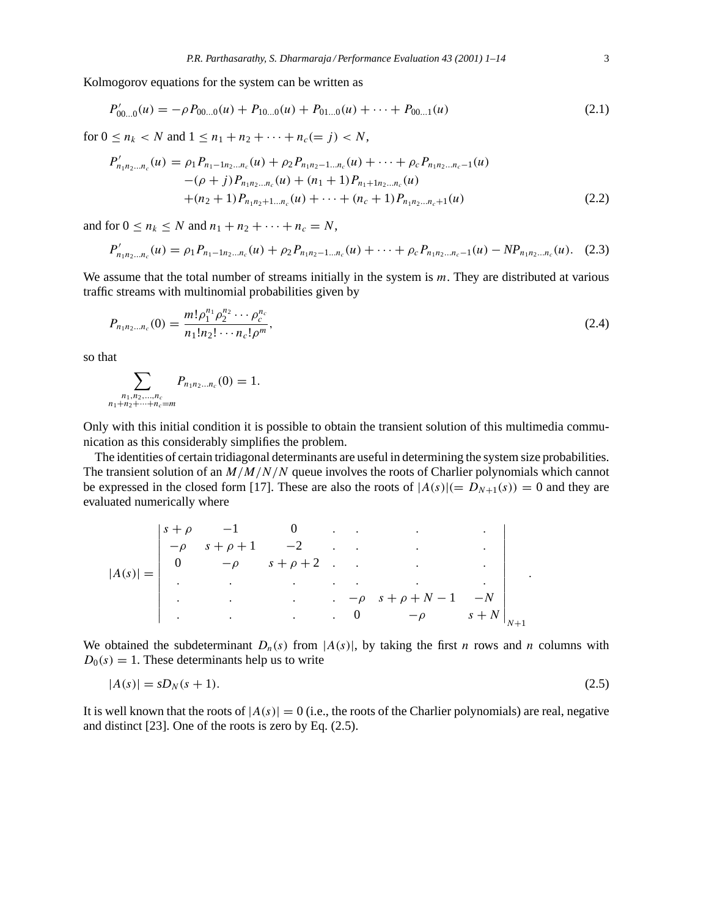Kolmogorov equations for the system can be written as

$$
P'_{00...0}(u) = -\rho P_{00...0}(u) + P_{10...0}(u) + P_{01...0}(u) + \dots + P_{00...1}(u)
$$
\n(2.1)

for  $0 \le n_k < N$  and  $1 \le n_1 + n_2 + \cdots + n_c (= j) < N$ ,

$$
P'_{n_1n_2...n_c}(u) = \rho_1 P_{n_1-1n_2...n_c}(u) + \rho_2 P_{n_1n_2-1...n_c}(u) + \cdots + \rho_c P_{n_1n_2...n_c-1}(u) - (\rho + j) P_{n_1n_2...n_c}(u) + (n_1 + 1) P_{n_1+1n_2...n_c}(u) + (n_2 + 1) P_{n_1n_2+1...n_c}(u) + \cdots + (n_c + 1) P_{n_1n_2...n_c+1}(u)
$$
\n(2.2)

and for  $0 \le n_k \le N$  and  $n_1 + n_2 + \cdots + n_c = N$ ,

$$
P'_{n_1n_2...n_c}(u) = \rho_1 P_{n_1-1n_2...n_c}(u) + \rho_2 P_{n_1n_2-1...n_c}(u) + \cdots + \rho_c P_{n_1n_2...n_c-1}(u) - NP_{n_1n_2...n_c}(u). \quad (2.3)
$$

We assume that the total number of streams initially in the system is m. They are distributed at various traffic streams with multinomial probabilities given by

$$
P_{n_1 n_2 \dots n_c}(0) = \frac{m! \rho_1^{n_1} \rho_2^{n_2} \cdots \rho_c^{n_c}}{n_1! n_2! \cdots n_c! \rho^m},
$$
\n(2.4)

so that

$$
\sum_{\substack{n_1,n_2,\ldots,n_c\\n_1+n_2+\cdots+n_c=m}} P_{n_1n_2\ldots n_c}(0) = 1.
$$

Only with this initial condition it is possible to obtain the transient solution of this multimedia communication as this considerably simplifies the problem.

The identities of certain tridiagonal determinants are useful in determining the system size probabilities. The transient solution of an  $M/M/N/N$  queue involves the roots of Charlier polynomials which cannot be expressed in the closed form [17]. These are also the roots of  $|A(s)| (= D_{N+1}(s)) = 0$  and they are evaluated numerically where

|            | $s+\rho$ |                      | $-1$ 0               |           |           |                      |         |  |
|------------|----------|----------------------|----------------------|-----------|-----------|----------------------|---------|--|
| $ A(s)  =$ |          | $s+\rho+1$           | $-2$ .               |           |           | ٠                    | ٠       |  |
|            | 0        | $-\rho$              | $s+\rho+2$ .         |           |           | $\bullet$ .          |         |  |
|            |          | ٠                    | $\sim 10^{-10}$      | $\bullet$ |           | $\sim$               |         |  |
|            |          |                      | $\ddot{\phantom{a}}$ |           |           | $-\rho$ $s+\rho+N-1$ | $-N$    |  |
|            |          | $\ddot{\phantom{a}}$ | $\ddot{\phantom{a}}$ |           | $\cdot$ 0 | $-\rho$              | $s + N$ |  |

We obtained the subdeterminant  $D_n(s)$  from  $|A(s)|$ , by taking the first n rows and n columns with  $D_0(s) = 1$ . These determinants help us to write

$$
|A(s)| = sD_N(s+1). \tag{2.5}
$$

It is well known that the roots of  $|A(s)| = 0$  (i.e., the roots of the Charlier polynomials) are real, negative and distinct [23]. One of the roots is zero by Eq. (2.5).

.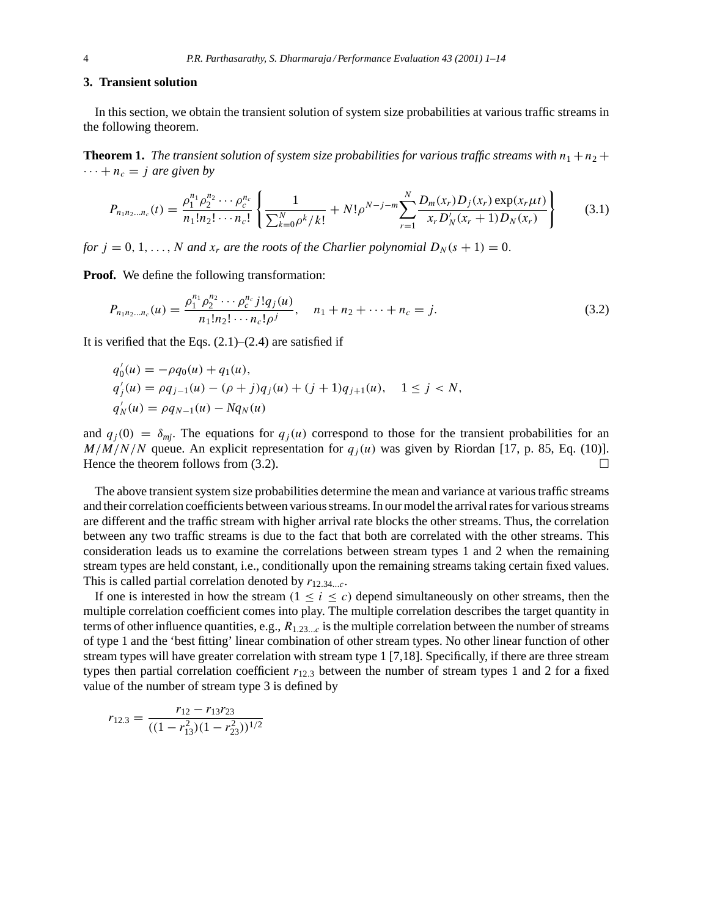### **3. Transient solution**

In this section, we obtain the transient solution of system size probabilities at various traffic streams in the following theorem.

**Theorem 1.** *The transient solution of system size probabilities for various traffic streams with*  $n_1 + n_2 +$  $\cdots + n_c = j$  are given by

$$
P_{n_1 n_2 \dots n_c}(t) = \frac{\rho_1^{n_1} \rho_2^{n_2} \cdots \rho_c^{n_c}}{n_1! n_2! \cdots n_c!} \left\{ \frac{1}{\sum_{k=0}^N \rho^k / k!} + N! \rho^{N-j-m} \sum_{r=1}^N \frac{D_m(x_r) D_j(x_r) \exp(x_r \mu t)}{x_r D'_N(x_r + 1) D_N(x_r)} \right\}
$$
(3.1)

*for*  $j = 0, 1, \ldots, N$  *and*  $x_r$  *are the roots of the Charlier polynomial*  $D_N(s + 1) = 0$ .

**Proof.** We define the following transformation:

$$
P_{n_1 n_2 \dots n_c}(u) = \frac{\rho_1^{n_1} \rho_2^{n_2} \cdots \rho_c^{n_c} j! q_j(u)}{n_1! n_2! \cdots n_c! \rho^j}, \quad n_1 + n_2 + \cdots + n_c = j. \tag{3.2}
$$

It is verified that the Eqs.  $(2.1)$ – $(2.4)$  are satisfied if

$$
q'_0(u) = -\rho q_0(u) + q_1(u),
$$
  
\n
$$
q'_j(u) = \rho q_{j-1}(u) - (\rho + j)q_j(u) + (j+1)q_{j+1}(u), \quad 1 \le j < N,
$$
  
\n
$$
q'_N(u) = \rho q_{N-1}(u) - Nq_N(u)
$$

and  $q_i(0) = \delta_{mj}$ . The equations for  $q_i(u)$  correspond to those for the transient probabilities for an  $M/M/N/N$  queue. An explicit representation for  $q_i(u)$  was given by Riordan [17, p. 85, Eq. (10)]. Hence the theorem follows from (3.2).  $\Box$ 

The above transient system size probabilities determine the mean and variance at various traffic streams and their correlation coefficients between various streams. In our model the arrival rates for various streams are different and the traffic stream with higher arrival rate blocks the other streams. Thus, the correlation between any two traffic streams is due to the fact that both are correlated with the other streams. This consideration leads us to examine the correlations between stream types 1 and 2 when the remaining stream types are held constant, i.e., conditionally upon the remaining streams taking certain fixed values. This is called partial correlation denoted by  $r_{12.34...c}$ .

If one is interested in how the stream ( $1 \le i \le c$ ) depend simultaneously on other streams, then the multiple correlation coefficient comes into play. The multiple correlation describes the target quantity in terms of other influence quantities, e.g.,  $R_{1,23...c}$  is the multiple correlation between the number of streams of type 1 and the 'best fitting' linear combination of other stream types. No other linear function of other stream types will have greater correlation with stream type 1 [7,18]. Specifically, if there are three stream types then partial correlation coefficient  $r_{12.3}$  between the number of stream types 1 and 2 for a fixed value of the number of stream type 3 is defined by

$$
r_{12.3} = \frac{r_{12} - r_{13}r_{23}}{((1 - r_{13}^2)(1 - r_{23}^2))^{1/2}}
$$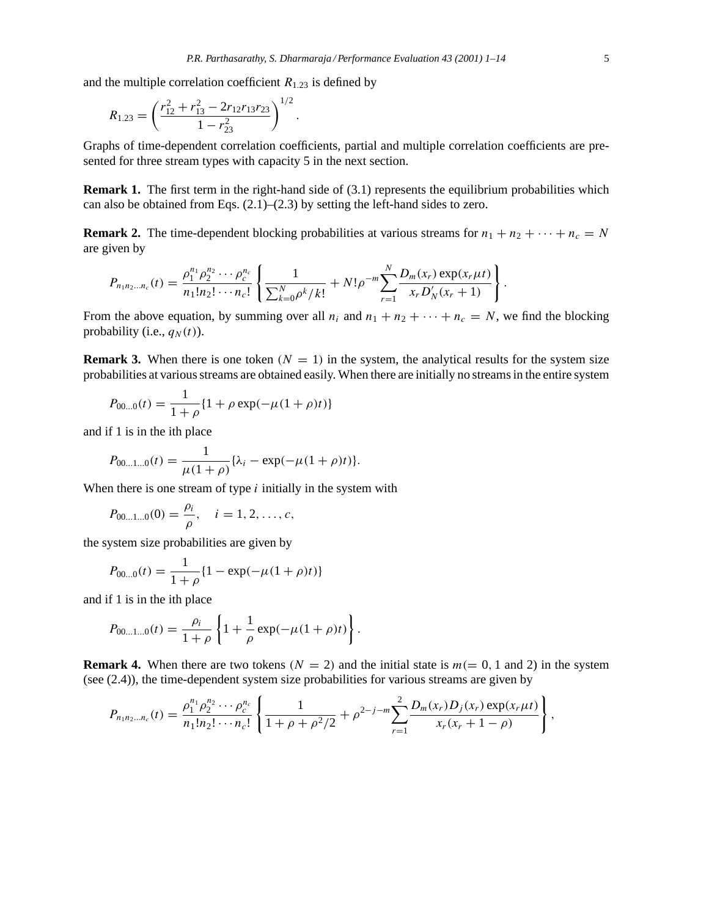and the multiple correlation coefficient  $R_{1,23}$  is defined by

$$
R_{1.23} = \left(\frac{r_{12}^2 + r_{13}^2 - 2r_{12}r_{13}r_{23}}{1 - r_{23}^2}\right)^{1/2}.
$$

Graphs of time-dependent correlation coefficients, partial and multiple correlation coefficients are presented for three stream types with capacity 5 in the next section.

**Remark 1.** The first term in the right-hand side of (3.1) represents the equilibrium probabilities which can also be obtained from Eqs.  $(2.1)$ – $(2.3)$  by setting the left-hand sides to zero.

**Remark 2.** The time-dependent blocking probabilities at various streams for  $n_1 + n_2 + \cdots + n_c = N$ are given by

$$
P_{n_1n_2...n_c}(t) = \frac{\rho_1^{n_1}\rho_2^{n_2}\cdots\rho_c^{n_c}}{n_1!n_2!\cdots n_c!} \left\{ \frac{1}{\sum_{k=0}^N \rho^k/k!} + N!\rho^{-m} \sum_{r=1}^N \frac{D_m(x_r) \exp(x_r\mu t)}{x_r D'_N(x_r+1)} \right\}
$$

From the above equation, by summing over all  $n_1$  and  $n_1 + n_2 + \cdots + n_c = N$ , we find the blocking probability (i.e.,  $q_N(t)$ ).

**Remark 3.** When there is one token  $(N = 1)$  in the system, the analytical results for the system size probabilities at various streams are obtained easily. When there are initially no streams in the entire system

$$
P_{00...0}(t) = \frac{1}{1+\rho} \{1+\rho \exp(-\mu(1+\rho)t)\}
$$

and if 1 is in the ith place

$$
P_{00...1...0}(t) = \frac{1}{\mu(1+\rho)} \{\lambda_i - \exp(-\mu(1+\rho)t)\}.
$$

When there is one stream of type  $i$  initially in the system with

$$
P_{00...1...0}(0) = \frac{\rho_i}{\rho}, \quad i = 1, 2, ..., c,
$$

the system size probabilities are given by

$$
P_{00...0}(t) = \frac{1}{1+\rho} \{1 - \exp(-\mu(1+\rho)t)\}
$$

and if 1 is in the ith place

$$
P_{00...1...0}(t) = \frac{\rho_i}{1+\rho} \left\{ 1 + \frac{1}{\rho} \exp(-\mu(1+\rho)t) \right\}.
$$

**Remark 4.** When there are two tokens ( $N = 2$ ) and the initial state is  $m (= 0, 1 \text{ and } 2)$  in the system (see (2.4)), the time-dependent system size probabilities for various streams are given by

$$
P_{n_1n_2...n_c}(t) = \frac{\rho_1^{n_1}\rho_2^{n_2}\cdots\rho_c^{n_c}}{n_1!n_2!\cdots n_c!} \left\{ \frac{1}{1+\rho+\rho^2/2} + \rho^{2-j-m} \sum_{r=1}^2 \frac{D_m(x_r)D_j(x_r)\exp(x_r\mu t)}{x_r(x_r+1-\rho)} \right\},
$$

.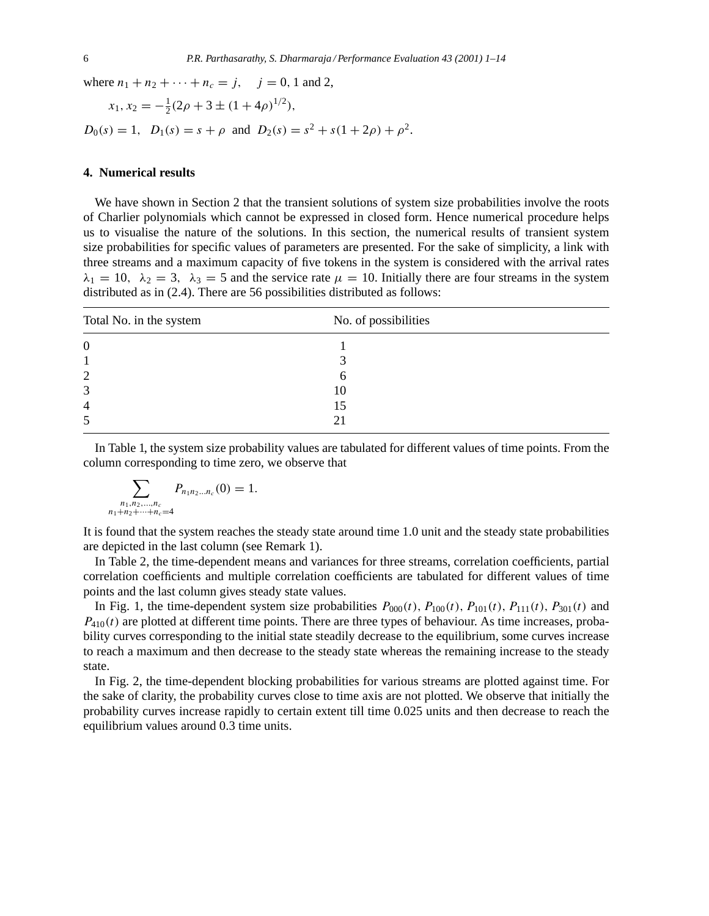where  $n_1 + n_2 + \cdots + n_c = j$ ,  $j = 0, 1$  and 2,

$$
x_1, x_2 = -\frac{1}{2}(2\rho + 3 \pm (1 + 4\rho)^{1/2}),
$$
  
 
$$
D_0(s) = 1, \quad D_1(s) = s + \rho \text{ and } D_2(s) = s^2 + s(1 + 2\rho) + \rho^2.
$$

## **4. Numerical results**

We have shown in Section 2 that the transient solutions of system size probabilities involve the roots of Charlier polynomials which cannot be expressed in closed form. Hence numerical procedure helps us to visualise the nature of the solutions. In this section, the numerical results of transient system size probabilities for specific values of parameters are presented. For the sake of simplicity, a link with three streams and a maximum capacity of five tokens in the system is considered with the arrival rates  $\lambda_1 = 10$ ,  $\lambda_2 = 3$ ,  $\lambda_3 = 5$  and the service rate  $\mu = 10$ . Initially there are four streams in the system distributed as in (2.4). There are 56 possibilities distributed as follows:

| Total No. in the system | No. of possibilities |  |
|-------------------------|----------------------|--|
| $\overline{0}$          |                      |  |
|                         |                      |  |
| $\overline{2}$          | h                    |  |
| 3                       | 10                   |  |
| $\overline{4}$          | 15                   |  |
| 5                       | 21                   |  |

In Table 1, the system size probability values are tabulated for different values of time points. From the column corresponding to time zero, we observe that

$$
\sum_{\substack{n_1,n_2,\dots,n_c\\n_1+n_2+\dots+n_c=4}} P_{n_1n_2\dots n_c}(0) = 1.
$$

It is found that the system reaches the steady state around time 1.0 unit and the steady state probabilities are depicted in the last column (see Remark 1).

In Table 2, the time-dependent means and variances for three streams, correlation coefficients, partial correlation coefficients and multiple correlation coefficients are tabulated for different values of time points and the last column gives steady state values.

In Fig. 1, the time-dependent system size probabilities  $P_{000}(t)$ ,  $P_{100}(t)$ ,  $P_{101}(t)$ ,  $P_{111}(t)$ ,  $P_{301}(t)$  and  $P_{410}(t)$  are plotted at different time points. There are three types of behaviour. As time increases, probability curves corresponding to the initial state steadily decrease to the equilibrium, some curves increase to reach a maximum and then decrease to the steady state whereas the remaining increase to the steady state.

In Fig. 2, the time-dependent blocking probabilities for various streams are plotted against time. For the sake of clarity, the probability curves close to time axis are not plotted. We observe that initially the probability curves increase rapidly to certain extent till time 0.025 units and then decrease to reach the equilibrium values around 0.3 time units.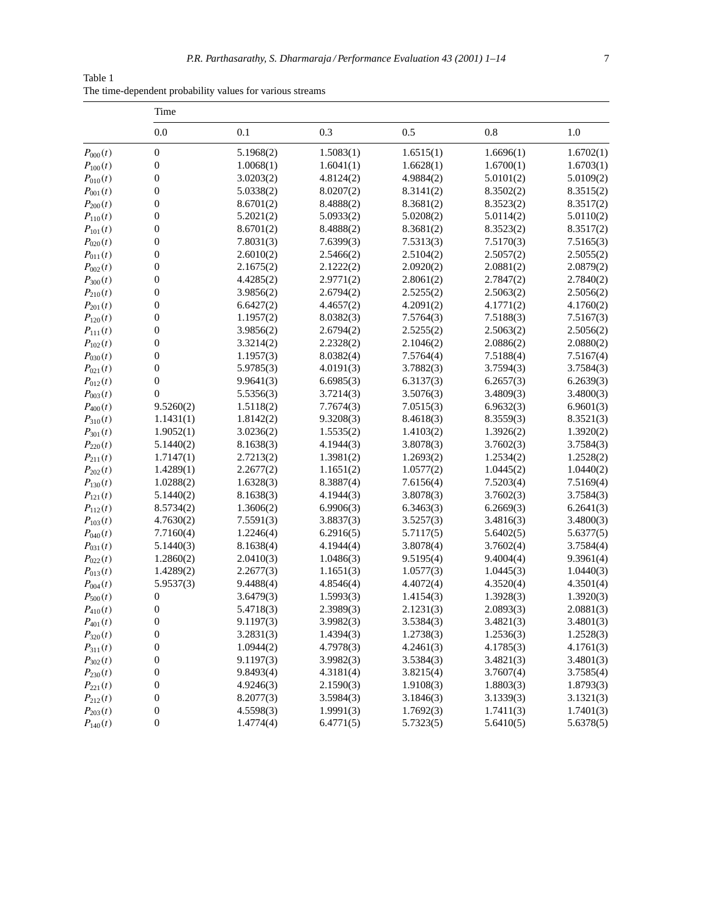| Table 1                                                   |  |  |
|-----------------------------------------------------------|--|--|
| The time-dependent probability values for various streams |  |  |

|              | Time             |           |           |           |           |           |  |
|--------------|------------------|-----------|-----------|-----------|-----------|-----------|--|
|              | 0.0              | 0.1       | 0.3       | 0.5       | 0.8       | 1.0       |  |
| $P_{000}(t)$ | $\boldsymbol{0}$ | 5.1968(2) | 1.5083(1) | 1.6515(1) | 1.6696(1) | 1.6702(1) |  |
| $P_{100}(t)$ | $\boldsymbol{0}$ | 1.0068(1) | 1.6041(1) | 1.6628(1) | 1.6700(1) | 1.6703(1) |  |
| $P_{010}(t)$ | $\boldsymbol{0}$ | 3.0203(2) | 4.8124(2) | 4.9884(2) | 5.0101(2) | 5.0109(2) |  |
| $P_{001}(t)$ | $\boldsymbol{0}$ | 5.0338(2) | 8.0207(2) | 8.3141(2) | 8.3502(2) | 8.3515(2) |  |
| $P_{200}(t)$ | $\boldsymbol{0}$ | 8.6701(2) | 8.4888(2) | 8.3681(2) | 8.3523(2) | 8.3517(2) |  |
| $P_{110}(t)$ | $\boldsymbol{0}$ | 5.2021(2) | 5.0933(2) | 5.0208(2) | 5.0114(2) | 5.0110(2) |  |
| $P_{101}(t)$ | $\boldsymbol{0}$ | 8.6701(2) | 8.4888(2) | 8.3681(2) | 8.3523(2) | 8.3517(2) |  |
| $P_{020}(t)$ | $\boldsymbol{0}$ | 7.8031(3) | 7.6399(3) | 7.5313(3) | 7.5170(3) | 7.5165(3) |  |
| $P_{011}(t)$ | $\boldsymbol{0}$ | 2.6010(2) | 2.5466(2) | 2.5104(2) | 2.5057(2) | 2.5055(2) |  |
| $P_{002}(t)$ | $\boldsymbol{0}$ | 2.1675(2) | 2.1222(2) | 2.0920(2) | 2.0881(2) | 2.0879(2) |  |
| $P_{300}(t)$ | $\boldsymbol{0}$ | 4.4285(2) | 2.9771(2) | 2.8061(2) | 2.7847(2) | 2.7840(2) |  |
| $P_{210}(t)$ | $\boldsymbol{0}$ | 3.9856(2) | 2.6794(2) | 2.5255(2) | 2.5063(2) | 2.5056(2) |  |
| $P_{201}(t)$ | $\boldsymbol{0}$ | 6.6427(2) | 4.4657(2) | 4.2091(2) | 4.1771(2) | 4.1760(2) |  |
| $P_{120}(t)$ | $\boldsymbol{0}$ | 1.1957(2) | 8.0382(3) | 7.5764(3) | 7.5188(3) | 7.5167(3) |  |
| $P_{111}(t)$ | $\boldsymbol{0}$ | 3.9856(2) | 2.6794(2) | 2.5255(2) | 2.5063(2) | 2.5056(2) |  |
| $P_{102}(t)$ | $\boldsymbol{0}$ | 3.3214(2) | 2.2328(2) | 2.1046(2) | 2.0886(2) | 2.0880(2) |  |
| $P_{030}(t)$ | $\boldsymbol{0}$ | 1.1957(3) | 8.0382(4) | 7.5764(4) | 7.5188(4) | 7.5167(4) |  |
| $P_{021}(t)$ | $\boldsymbol{0}$ | 5.9785(3) | 4.0191(3) | 3.7882(3) | 3.7594(3) | 3.7584(3) |  |
| $P_{012}(t)$ | $\boldsymbol{0}$ | 9.9641(3) | 6.6985(3) | 6.3137(3) | 6.2657(3) | 6.2639(3) |  |
| $P_{003}(t)$ | $\overline{0}$   | 5.5356(3) | 3.7214(3) | 3.5076(3) | 3.4809(3) | 3.4800(3) |  |
| $P_{400}(t)$ | 9.5260(2)        | 1.5118(2) | 7.7674(3) | 7.0515(3) | 6.9632(3) | 6.9601(3) |  |
| $P_{310}(t)$ | 1.1431(1)        | 1.8142(2) | 9.3208(3) | 8.4618(3) | 8.3559(3) | 8.3521(3) |  |
| $P_{301}(t)$ | 1.9052(1)        | 3.0236(2) | 1.5535(2) | 1.4103(2) | 1.3926(2) | 1.3920(2) |  |
| $P_{220}(t)$ | 5.1440(2)        | 8.1638(3) | 4.1944(3) | 3.8078(3) | 3.7602(3) | 3.7584(3) |  |
| $P_{211}(t)$ | 1.7147(1)        | 2.7213(2) | 1.3981(2) | 1.2693(2) | 1.2534(2) | 1.2528(2) |  |
| $P_{202}(t)$ | 1.4289(1)        | 2.2677(2) | 1.1651(2) | 1.0577(2) | 1.0445(2) | 1.0440(2) |  |
| $P_{130}(t)$ | 1.0288(2)        | 1.6328(3) | 8.3887(4) | 7.6156(4) | 7.5203(4) | 7.5169(4) |  |
| $P_{121}(t)$ | 5.1440(2)        | 8.1638(3) | 4.1944(3) | 3.8078(3) | 3.7602(3) | 3.7584(3) |  |
| $P_{112}(t)$ | 8.5734(2)        | 1.3606(2) | 6.9906(3) | 6.3463(3) | 6.2669(3) | 6.2641(3) |  |
| $P_{103}(t)$ | 4.7630(2)        | 7.5591(3) | 3.8837(3) | 3.5257(3) | 3.4816(3) | 3.4800(3) |  |
| $P_{040}(t)$ | 7.7160(4)        | 1.2246(4) | 6.2916(5) | 5.7117(5) | 5.6402(5) | 5.6377(5) |  |
| $P_{031}(t)$ | 5.1440(3)        | 8.1638(4) | 4.1944(4) | 3.8078(4) | 3.7602(4) | 3.7584(4) |  |
| $P_{022}(t)$ | 1.2860(2)        | 2.0410(3) | 1.0486(3) | 9.5195(4) | 9.4004(4) | 9.3961(4) |  |
| $P_{013}(t)$ | 1.4289(2)        | 2.2677(3) | 1.1651(3) | 1.0577(3) | 1.0445(3) | 1.0440(3) |  |
| $P_{004}(t)$ | 5.9537(3)        | 9.4488(4) | 4.8546(4) | 4.4072(4) | 4.3520(4) | 4.3501(4) |  |
| $P_{500}(t)$ | $\boldsymbol{0}$ | 3.6479(3) | 1.5993(3) | 1.4154(3) | 1.3928(3) | 1.3920(3) |  |
| $P_{410}(t)$ | $\boldsymbol{0}$ | 5.4718(3) | 2.3989(3) | 2.1231(3) | 2.0893(3) | 2.0881(3) |  |
| $P_{401}(t)$ | $\mathbf{0}$     | 9.1197(3) | 3.9982(3) | 3.5384(3) | 3.4821(3) | 3.4801(3) |  |
| $P_{320}(t)$ | $\boldsymbol{0}$ | 3.2831(3) | 1.4394(3) | 1.2738(3) | 1.2536(3) | 1.2528(3) |  |
| $P_{311}(t)$ | $\boldsymbol{0}$ | 1.0944(2) | 4.7978(3) | 4.2461(3) | 4.1785(3) | 4.1761(3) |  |
| $P_{302}(t)$ | $\boldsymbol{0}$ | 9.1197(3) | 3.9982(3) | 3.5384(3) | 3.4821(3) | 3.4801(3) |  |
| $P_{230}(t)$ | $\boldsymbol{0}$ | 9.8493(4) | 4.3181(4) | 3.8215(4) | 3.7607(4) | 3.7585(4) |  |
| $P_{221}(t)$ | $\boldsymbol{0}$ | 4.9246(3) | 2.1590(3) | 1.9108(3) | 1.8803(3) | 1.8793(3) |  |
| $P_{212}(t)$ | $\boldsymbol{0}$ | 8.2077(3) | 3.5984(3) | 3.1846(3) | 3.1339(3) | 3.1321(3) |  |
| $P_{203}(t)$ | $\boldsymbol{0}$ | 4.5598(3) | 1.9991(3) | 1.7692(3) | 1.7411(3) | 1.7401(3) |  |
| $P_{140}(t)$ | $\boldsymbol{0}$ | 1.4774(4) | 6.4771(5) | 5.7323(5) | 5.6410(5) | 5.6378(5) |  |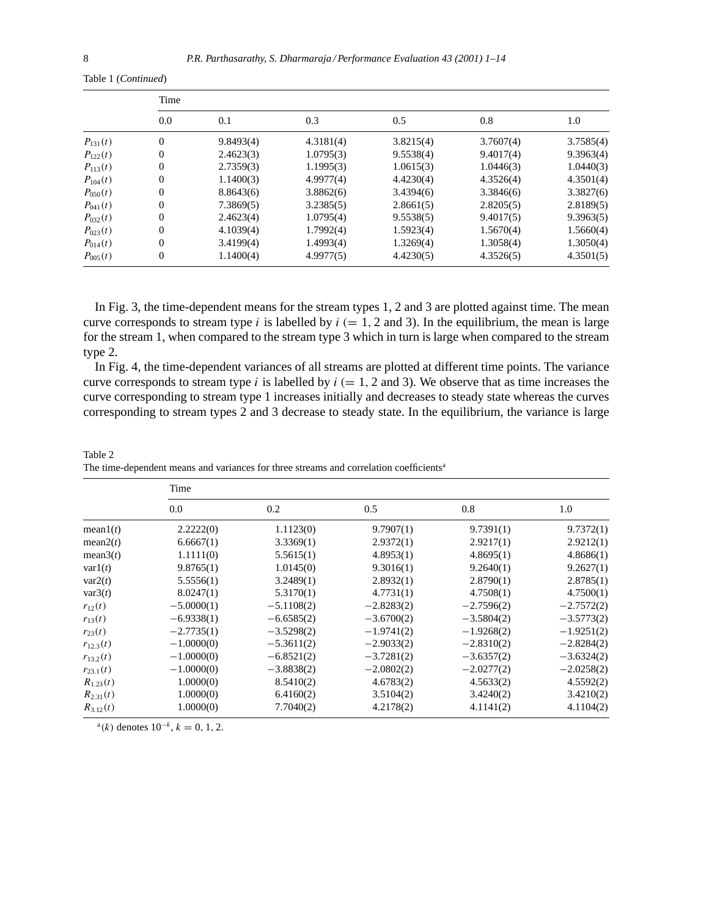|              | Time     |           |           |           |           |           |  |
|--------------|----------|-----------|-----------|-----------|-----------|-----------|--|
|              | 0.0      | 0.1       | 0.3       | 0.5       | 0.8       | 1.0       |  |
| $P_{131}(t)$ | $\theta$ | 9.8493(4) | 4.3181(4) | 3.8215(4) | 3.7607(4) | 3.7585(4) |  |
| $P_{122}(t)$ | $\theta$ | 2.4623(3) | 1.0795(3) | 9.5538(4) | 9.4017(4) | 9.3963(4) |  |
| $P_{113}(t)$ | $\Omega$ | 2.7359(3) | 1.1995(3) | 1.0615(3) | 1.0446(3) | 1.0440(3) |  |
| $P_{104}(t)$ | $\Omega$ | 1.1400(3) | 4.9977(4) | 4.4230(4) | 4.3526(4) | 4.3501(4) |  |
| $P_{050}(t)$ | $\theta$ | 8.8643(6) | 3.8862(6) | 3.4394(6) | 3.3846(6) | 3.3827(6) |  |
| $P_{041}(t)$ | $\theta$ | 7.3869(5) | 3.2385(5) | 2.8661(5) | 2.8205(5) | 2.8189(5) |  |
| $P_{032}(t)$ | $\theta$ | 2.4623(4) | 1.0795(4) | 9.5538(5) | 9.4017(5) | 9.3963(5) |  |
| $P_{023}(t)$ | $\Omega$ | 4.1039(4) | 1.7992(4) | 1.5923(4) | 1.5670(4) | 1.5660(4) |  |
| $P_{014}(t)$ | $\Omega$ | 3.4199(4) | 1.4993(4) | 1.3269(4) | 1.3058(4) | 1.3050(4) |  |
| $P_{005}(t)$ | $\theta$ | 1.1400(4) | 4.9977(5) | 4.4230(5) | 4.3526(5) | 4.3501(5) |  |

Table 1 (*Continued*)

In Fig. 3, the time-dependent means for the stream types 1, 2 and 3 are plotted against time. The mean curve corresponds to stream type i is labelled by  $i (= 1, 2 \text{ and } 3)$ . In the equilibrium, the mean is large for the stream 1, when compared to the stream type 3 which in turn is large when compared to the stream type 2.

In Fig. 4, the time-dependent variances of all streams are plotted at different time points. The variance curve corresponds to stream type i is labelled by  $i (= 1, 2 \text{ and } 3)$ . We observe that as time increases the curve corresponding to stream type 1 increases initially and decreases to steady state whereas the curves corresponding to stream types 2 and 3 decrease to steady state. In the equilibrium, the variance is large

| Table 2                                                                                            |  |  |
|----------------------------------------------------------------------------------------------------|--|--|
| The time-dependent means and variances for three streams and correlation coefficients <sup>a</sup> |  |  |

|               | Time         |              |              |              |              |  |
|---------------|--------------|--------------|--------------|--------------|--------------|--|
|               | 0.0          | 0.2          | 0.5          | 0.8          | 1.0          |  |
| mean1(t)      | 2.2222(0)    | 1.1123(0)    | 9.7907(1)    | 9.7391(1)    | 9.7372(1)    |  |
| mean2(t)      | 6.6667(1)    | 3.3369(1)    | 2.9372(1)    | 2.9217(1)    | 2.9212(1)    |  |
| mean $3(t)$   | 1.1111(0)    | 5.5615(1)    | 4.8953(1)    | 4.8695(1)    | 4.8686(1)    |  |
| var1(t)       | 9.8765(1)    | 1.0145(0)    | 9.3016(1)    | 9.2640(1)    | 9.2627(1)    |  |
| var2(t)       | 5.5556(1)    | 3.2489(1)    | 2.8932(1)    | 2.8790(1)    | 2.8785(1)    |  |
| var3(t)       | 8.0247(1)    | 5.3170(1)    | 4.7731(1)    | 4.7508(1)    | 4.7500(1)    |  |
| $r_{12}(t)$   | $-5.0000(1)$ | $-5.1108(2)$ | $-2.8283(2)$ | $-2.7596(2)$ | $-2.7572(2)$ |  |
| $r_{13}(t)$   | $-6.9338(1)$ | $-6.6585(2)$ | $-3.6700(2)$ | $-3.5804(2)$ | $-3.5773(2)$ |  |
| $r_{23}(t)$   | $-2.7735(1)$ | $-3.5298(2)$ | $-1.9741(2)$ | $-1.9268(2)$ | $-1.9251(2)$ |  |
| $r_{12,3}(t)$ | $-1.0000(0)$ | $-5.3611(2)$ | $-2.9033(2)$ | $-2.8310(2)$ | $-2.8284(2)$ |  |
| $r_{13,2}(t)$ | $-1.0000(0)$ | $-6.8521(2)$ | $-3.7281(2)$ | $-3.6357(2)$ | $-3.6324(2)$ |  |
| $r_{23.1}(t)$ | $-1.0000(0)$ | $-3.8838(2)$ | $-2.0802(2)$ | $-2.0277(2)$ | $-2.0258(2)$ |  |
| $R_{1,23}(t)$ | 1.0000(0)    | 8.5410(2)    | 4.6783(2)    | 4.5633(2)    | 4.5592(2)    |  |
| $R_{2,31}(t)$ | 1.0000(0)    | 6.4160(2)    | 3.5104(2)    | 3.4240(2)    | 3.4210(2)    |  |
| $R_{3.12}(t)$ | 1.0000(0)    | 7.7040(2)    | 4.2178(2)    | 4.1141(2)    | 4.1104(2)    |  |

<sup>a</sup>(k) denotes  $10^{-k}$ ,  $k = 0, 1, 2$ .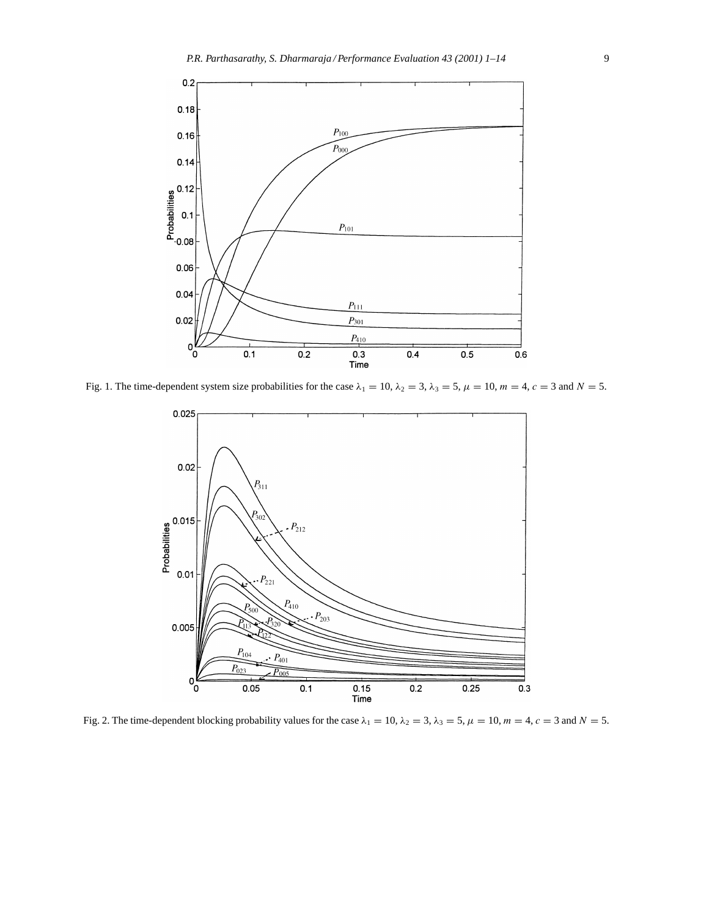

Fig. 1. The time-dependent system size probabilities for the case  $\lambda_1 = 10$ ,  $\lambda_2 = 3$ ,  $\lambda_3 = 5$ ,  $\mu = 10$ ,  $m = 4$ ,  $c = 3$  and  $N = 5$ .



Fig. 2. The time-dependent blocking probability values for the case  $\lambda_1 = 10$ ,  $\lambda_2 = 3$ ,  $\lambda_3 = 5$ ,  $\mu = 10$ ,  $m = 4$ ,  $c = 3$  and  $N = 5$ .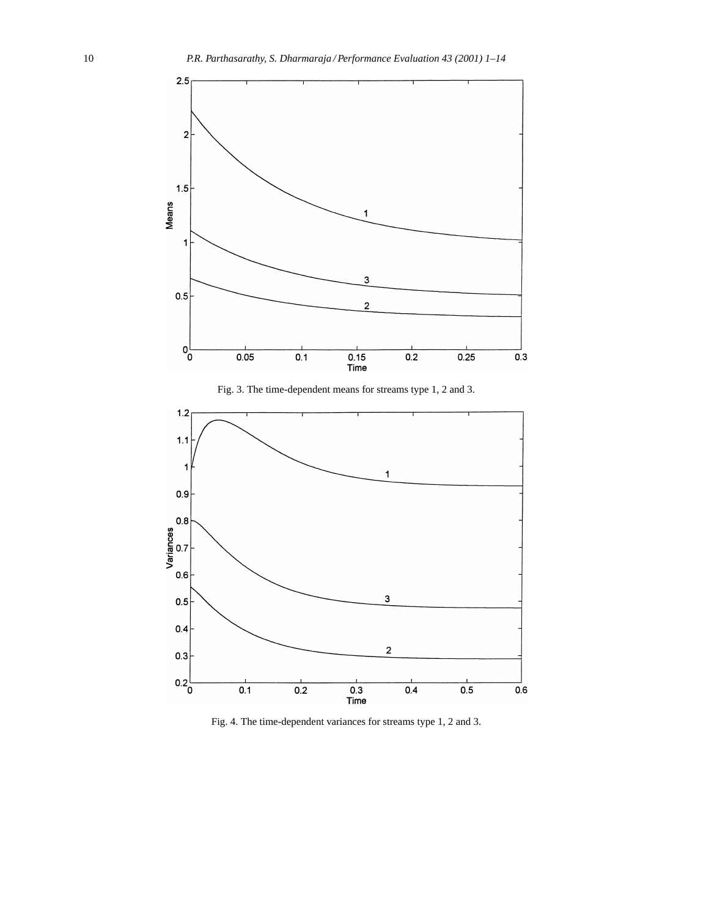

Fig. 3. The time-dependent means for streams type 1, 2 and 3.



Fig. 4. The time-dependent variances for streams type 1, 2 and 3.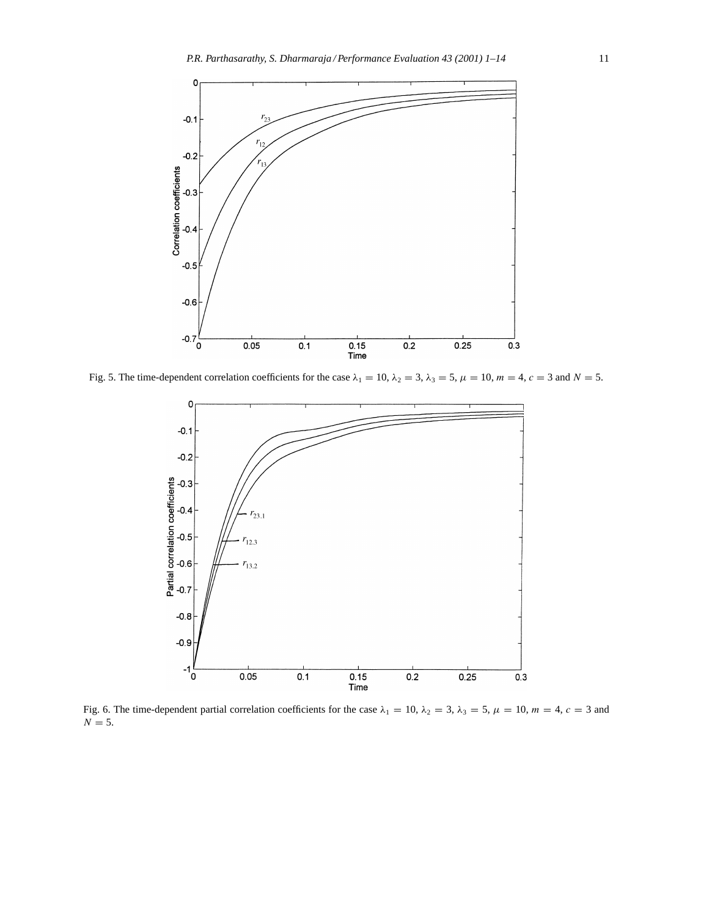

Fig. 5. The time-dependent correlation coefficients for the case  $\lambda_1 = 10$ ,  $\lambda_2 = 3$ ,  $\lambda_3 = 5$ ,  $\mu = 10$ ,  $m = 4$ ,  $c = 3$  and  $N = 5$ .



Fig. 6. The time-dependent partial correlation coefficients for the case  $\lambda_1 = 10$ ,  $\lambda_2 = 3$ ,  $\lambda_3 = 5$ ,  $\mu = 10$ ,  $m = 4$ ,  $c = 3$  and  $N = 5$ .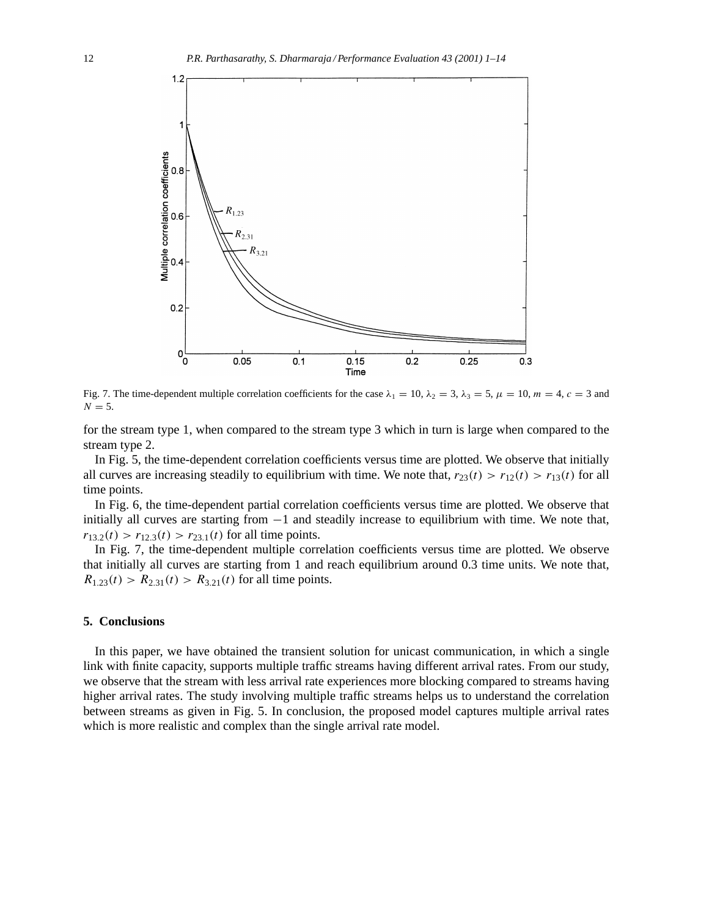

Fig. 7. The time-dependent multiple correlation coefficients for the case  $\lambda_1 = 10$ ,  $\lambda_2 = 3$ ,  $\lambda_3 = 5$ ,  $\mu = 10$ ,  $m = 4$ ,  $c = 3$  and  $N = 5$ .

for the stream type 1, when compared to the stream type 3 which in turn is large when compared to the stream type 2.

In Fig. 5, the time-dependent correlation coefficients versus time are plotted. We observe that initially all curves are increasing steadily to equilibrium with time. We note that,  $r_{23}(t) > r_{12}(t) > r_{13}(t)$  for all time points.

In Fig. 6, the time-dependent partial correlation coefficients versus time are plotted. We observe that initially all curves are starting from −1 and steadily increase to equilibrium with time. We note that,  $r_{13.2}(t) > r_{12.3}(t) > r_{23.1}(t)$  for all time points.

In Fig. 7, the time-dependent multiple correlation coefficients versus time are plotted. We observe that initially all curves are starting from 1 and reach equilibrium around 0.3 time units. We note that,  $R_{1,23}(t) > R_{2,31}(t) > R_{3,21}(t)$  for all time points.

# **5. Conclusions**

In this paper, we have obtained the transient solution for unicast communication, in which a single link with finite capacity, supports multiple traffic streams having different arrival rates. From our study, we observe that the stream with less arrival rate experiences more blocking compared to streams having higher arrival rates. The study involving multiple traffic streams helps us to understand the correlation between streams as given in Fig. 5. In conclusion, the proposed model captures multiple arrival rates which is more realistic and complex than the single arrival rate model.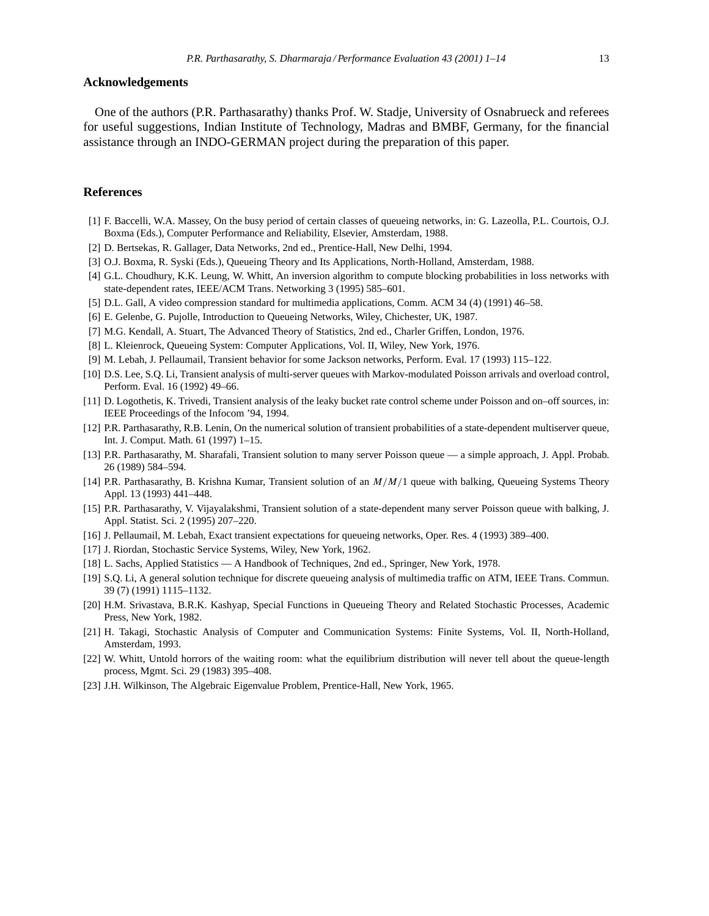### **Acknowledgements**

One of the authors (P.R. Parthasarathy) thanks Prof. W. Stadje, University of Osnabrueck and referees for useful suggestions, Indian Institute of Technology, Madras and BMBF, Germany, for the financial assistance through an INDO-GERMAN project during the preparation of this paper.

# **References**

- [1] F. Baccelli, W.A. Massey, On the busy period of certain classes of queueing networks, in: G. Lazeolla, P.L. Courtois, O.J. Boxma (Eds.), Computer Performance and Reliability, Elsevier, Amsterdam, 1988.
- [2] D. Bertsekas, R. Gallager, Data Networks, 2nd ed., Prentice-Hall, New Delhi, 1994.
- [3] O.J. Boxma, R. Syski (Eds.), Queueing Theory and Its Applications, North-Holland, Amsterdam, 1988.
- [4] G.L. Choudhury, K.K. Leung, W. Whitt, An inversion algorithm to compute blocking probabilities in loss networks with state-dependent rates, IEEE/ACM Trans. Networking 3 (1995) 585–601.
- [5] D.L. Gall, A video compression standard for multimedia applications, Comm. ACM 34 (4) (1991) 46–58.
- [6] E. Gelenbe, G. Pujolle, Introduction to Queueing Networks, Wiley, Chichester, UK, 1987.
- [7] M.G. Kendall, A. Stuart, The Advanced Theory of Statistics, 2nd ed., Charler Griffen, London, 1976.
- [8] L. Kleienrock, Queueing System: Computer Applications, Vol. II, Wiley, New York, 1976.
- [9] M. Lebah, J. Pellaumail, Transient behavior for some Jackson networks, Perform. Eval. 17 (1993) 115–122.
- [10] D.S. Lee, S.Q. Li, Transient analysis of multi-server queues with Markov-modulated Poisson arrivals and overload control, Perform. Eval. 16 (1992) 49–66.
- [11] D. Logothetis, K. Trivedi, Transient analysis of the leaky bucket rate control scheme under Poisson and on–off sources, in: IEEE Proceedings of the Infocom '94, 1994.
- [12] P.R. Parthasarathy, R.B. Lenin, On the numerical solution of transient probabilities of a state-dependent multiserver queue, Int. J. Comput. Math. 61 (1997) 1–15.
- [13] P.R. Parthasarathy, M. Sharafali, Transient solution to many server Poisson queue a simple approach, J. Appl. Probab. 26 (1989) 584–594.
- [14] P.R. Parthasarathy, B. Krishna Kumar, Transient solution of an M/M/1 queue with balking, Queueing Systems Theory Appl. 13 (1993) 441–448.
- [15] P.R. Parthasarathy, V. Vijayalakshmi, Transient solution of a state-dependent many server Poisson queue with balking, J. Appl. Statist. Sci. 2 (1995) 207–220.
- [16] J. Pellaumail, M. Lebah, Exact transient expectations for queueing networks, Oper. Res. 4 (1993) 389–400.
- [17] J. Riordan, Stochastic Service Systems, Wiley, New York, 1962.
- [18] L. Sachs, Applied Statistics A Handbook of Techniques, 2nd ed., Springer, New York, 1978.
- [19] S.Q. Li, A general solution technique for discrete queueing analysis of multimedia traffic on ATM, IEEE Trans. Commun. 39 (7) (1991) 1115–1132.
- [20] H.M. Srivastava, B.R.K. Kashyap, Special Functions in Queueing Theory and Related Stochastic Processes, Academic Press, New York, 1982.
- [21] H. Takagi, Stochastic Analysis of Computer and Communication Systems: Finite Systems, Vol. II, North-Holland, Amsterdam, 1993.
- [22] W. Whitt, Untold horrors of the waiting room: what the equilibrium distribution will never tell about the queue-length process, Mgmt. Sci. 29 (1983) 395–408.
- [23] J.H. Wilkinson, The Algebraic Eigenvalue Problem, Prentice-Hall, New York, 1965.